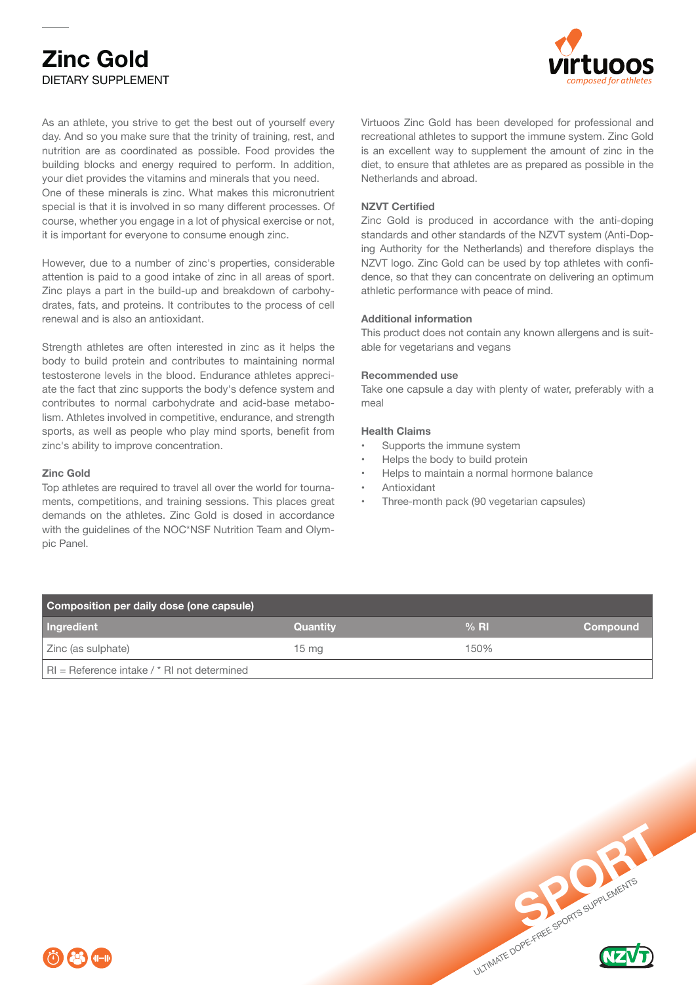



As an athlete, you strive to get the best out of yourself every day. And so you make sure that the trinity of training, rest, and nutrition are as coordinated as possible. Food provides the building blocks and energy required to perform. In addition, your diet provides the vitamins and minerals that you need.

One of these minerals is zinc. What makes this micronutrient special is that it is involved in so many different processes. Of course, whether you engage in a lot of physical exercise or not, it is important for everyone to consume enough zinc.

However, due to a number of zinc's properties, considerable attention is paid to a good intake of zinc in all areas of sport. Zinc plays a part in the build-up and breakdown of carbohydrates, fats, and proteins. It contributes to the process of cell renewal and is also an antioxidant.

Strength athletes are often interested in zinc as it helps the body to build protein and contributes to maintaining normal testosterone levels in the blood. Endurance athletes appreciate the fact that zinc supports the body's defence system and contributes to normal carbohydrate and acid-base metabolism. Athletes involved in competitive, endurance, and strength sports, as well as people who play mind sports, benefit from zinc's ability to improve concentration.

#### **Zinc Gold**

Top athletes are required to travel all over the world for tournaments, competitions, and training sessions. This places great demands on the athletes. Zinc Gold is dosed in accordance with the guidelines of the NOC\*NSF Nutrition Team and Olympic Panel.

Virtuoos Zinc Gold has been developed for professional and recreational athletes to support the immune system. Zinc Gold is an excellent way to supplement the amount of zinc in the diet, to ensure that athletes are as prepared as possible in the Netherlands and abroad.

### **NZVT Certified**

Zinc Gold is produced in accordance with the anti-doping standards and other standards of the NZVT system (Anti-Doping Authority for the Netherlands) and therefore displays the NZVT logo. Zinc Gold can be used by top athletes with confidence, so that they can concentrate on delivering an optimum athletic performance with peace of mind.

### **Additional information**

This product does not contain any known allergens and is suitable for vegetarians and vegans

### **Recommended use**

Take one capsule a day with plenty of water, preferably with a meal

# **Health Claims**

- Supports the immune system
- Helps the body to build protein
- Helps to maintain a normal hormone balance
- **Antioxidant**
- Three-month pack (90 vegetarian capsules)

| Composition per daily dose (one capsule)        |                  |        |                 |
|-------------------------------------------------|------------------|--------|-----------------|
| Ingredient                                      | <b>Quantity</b>  | $%$ RI | <b>Compound</b> |
| Zinc (as sulphate)                              | 15 <sub>mg</sub> | 150%   |                 |
| $RI$ = Reference intake / $*$ RI not determined |                  |        |                 |



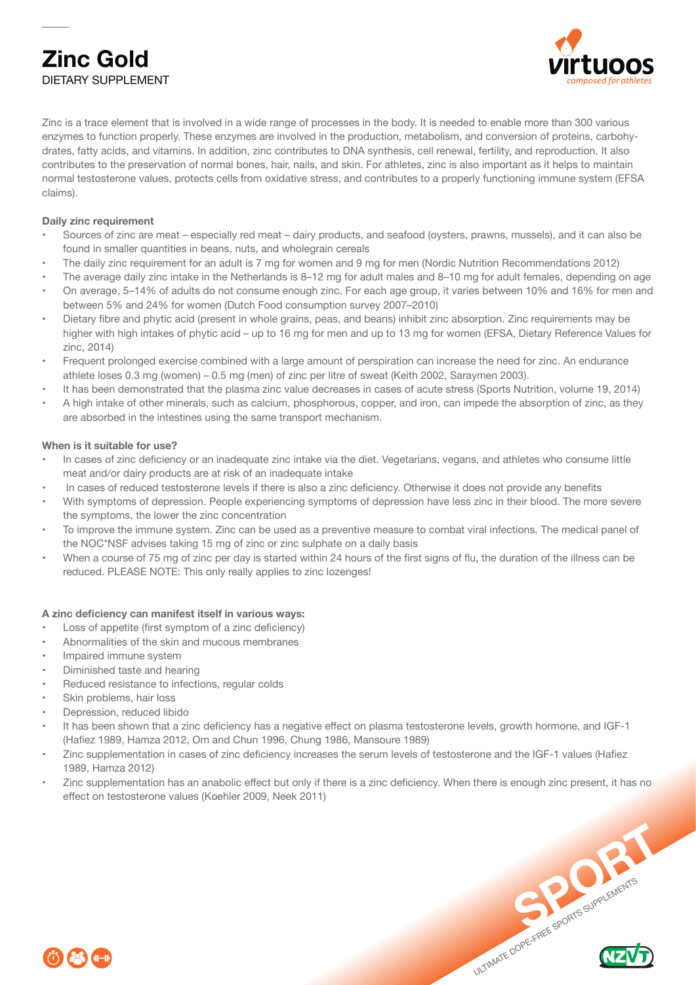DIETARY SUPPLEMENT

**Zinc Gold**



Zinc is a trace element that is involved in a wide range of processes in the body. It is needed to enable more than 300 various enzymes to function properly. These enzymes are involved in the production, metabolism, and conversion of proteins, carbohydrates, fatty acids, and vitamins. In addition, zinc contributes to DNA synthesis, cell renewal, fertility, and reproduction. It also contributes to the preservation of normal bones, hair, nails, and skin. For athletes, zinc is also important as it helps to maintain normal testosterone values, protects cells from oxidative stress, and contributes to a properly functioning immune system (EFSA claims).

## **Daily zinc requirement**

- Sources of zinc are meat especially red meat dairy products, and seafood (oysters, prawns, mussels), and it can also be found in smaller quantities in beans, nuts, and wholegrain cereals
- The daily zinc requirement for an adult is 7 mg for women and 9 mg for men (Nordic Nutrition Recommendations 2012)
- The average daily zinc intake in the Netherlands is 8–12 mg for adult males and 8–10 mg for adult females, depending on age • On average, 5–14% of adults do not consume enough zinc. For each age group, it varies between 10% and 16% for men and
- between 5% and 24% for women (Dutch Food consumption survey 2007–2010) • Dietary fibre and phytic acid (present in whole grains, peas, and beans) inhibit zinc absorption. Zinc requirements may be higher with high intakes of phytic acid – up to 16 mg for men and up to 13 mg for women (EFSA, Dietary Reference Values for zinc, 2014)
- Frequent prolonged exercise combined with a large amount of perspiration can increase the need for zinc. An endurance athlete loses 0.3 mg (women) – 0.5 mg (men) of zinc per litre of sweat (Keith 2002, Saraymen 2003).
- It has been demonstrated that the plasma zinc value decreases in cases of acute stress (Sports Nutrition, volume 19, 2014)
- A high intake of other minerals, such as calcium, phosphorous, copper, and iron, can impede the absorption of zinc, as they are absorbed in the intestines using the same transport mechanism.

### **When is it suitable for use?**

- In cases of zinc deficiency or an inadequate zinc intake via the diet. Vegetarians, vegans, and athletes who consume little meat and/or dairy products are at risk of an inadequate intake
- In cases of reduced testosterone levels if there is also a zinc deficiency. Otherwise it does not provide any benefits
- With symptoms of depression. People experiencing symptoms of depression have less zinc in their blood. The more severe the symptoms, the lower the zinc concentration
- To improve the immune system. Zinc can be used as a preventive measure to combat viral infections. The medical panel of the NOC\*NSF advises taking 15 mg of zinc or zinc sulphate on a daily basis
- When a course of 75 mg of zinc per day is started within 24 hours of the first signs of flu, the duration of the illness can be reduced. PLEASE NOTE: This only really applies to zinc lozenges!

### **A zinc deficiency can manifest itself in various ways:**

- Loss of appetite (first symptom of a zinc deficiency)
- Abnormalities of the skin and mucous membranes
- Impaired immune system
- Diminished taste and hearing
- Reduced resistance to infections, regular colds
- Skin problems, hair loss
- Depression, reduced libido
- It has been shown that a zinc deficiency has a negative effect on plasma testosterone levels, growth hormone, and IGF-1 (Hafiez 1989, Hamza 2012, Om and Chun 1996, Chung 1986, Mansoure 1989)
- Zinc supplementation in cases of zinc deficiency increases the serum levels of testosterone and the IGF-1 values (Hafiez 1989, Hamza 2012)
- Zinc supplementation has an anabolic effect but only if there is a zinc deficiency. When there is enough zinc present, it has no effect on testosterone values (Koehler 2009, Neek 2011)